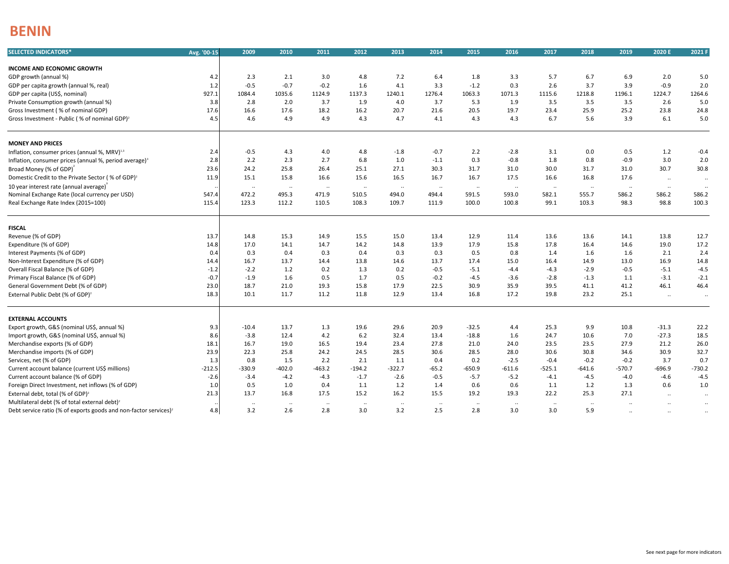## **BENIN**

| <b>SELECTED INDICATORS*</b>                                                  | Avg. '00-15 | 2009              | 2010              | 2011                      | 2012              | 2013             | 2014                          | 2015               | 2016              | 2017              | 2018              | 2019               | 2020 E               | 2021 F            |
|------------------------------------------------------------------------------|-------------|-------------------|-------------------|---------------------------|-------------------|------------------|-------------------------------|--------------------|-------------------|-------------------|-------------------|--------------------|----------------------|-------------------|
|                                                                              |             |                   |                   |                           |                   |                  |                               |                    |                   |                   |                   |                    |                      |                   |
| <b>INCOME AND ECONOMIC GROWTH</b>                                            | 4.2         | 2.3               | 2.1               | 3.0                       | 4.8               | 7.2              | 6.4                           | 1.8                | 3.3               | 5.7               | 6.7               | 6.9                | 2.0                  |                   |
| GDP growth (annual %)<br>GDP per capita growth (annual %, real)              | 1.2         | $-0.5$            | $-0.7$            | $-0.2$                    | 1.6               | 4.1              | 3.3                           | $-1.2$             | 0.3               | 2.6               | 3.7               | 3.9                | $-0.9$               | 5.0<br>2.0        |
| GDP per capita (US\$, nominal)                                               | 927.1       | 1084.4            | 1035.6            | 1124.9                    | 1137.3            | 1240.1           | 1276.4                        | 1063.3             | 1071.3            | 1115.6            | 1218.8            | 1196.1             | 1224.7               | 1264.6            |
|                                                                              |             |                   |                   |                           |                   |                  |                               |                    |                   |                   |                   |                    |                      |                   |
| Private Consumption growth (annual %)                                        | 3.8         | 2.8               | 2.0               | 3.7                       | 1.9               | 4.0              | 3.7                           | 5.3                | 1.9               | 3.5               | 3.5               | 3.5                | 2.6                  | 5.0               |
| Gross Investment (% of nominal GDP)                                          | 17.6        | 16.6<br>4.6       | 17.6<br>4.9       | 18.2<br>4.9               | 16.2<br>4.3       | 20.7<br>4.7      | 21.6<br>4.1                   | 20.5<br>4.3        | 19.7<br>4.3       | 23.4<br>6.7       | 25.9<br>5.6       | 25.2<br>3.9        | 23.8<br>6.1          | 24.8<br>5.0       |
| Gross Investment - Public (% of nominal GDP) <sup>2</sup>                    | 4.5         |                   |                   |                           |                   |                  |                               |                    |                   |                   |                   |                    |                      |                   |
| <b>MONEY AND PRICES</b>                                                      |             |                   |                   |                           |                   |                  |                               |                    |                   |                   |                   |                    |                      |                   |
| Inflation, consumer prices (annual %, MRV) <sup>1,3</sup>                    | 2.4         | $-0.5$            | 4.3               | 4.0                       | 4.8               | $-1.8$           | $-0.7$                        | 2.2                | $-2.8$            | 3.1               | 0.0               | 0.5                | 1.2                  | $-0.4$            |
| Inflation, consumer prices (annual %, period average) <sup>3</sup>           | 2.8         | 2.2               | 2.3               | 2.7                       | 6.8               | 1.0              | $-1.1$                        | 0.3                | $-0.8$            | 1.8               | 0.8               | $-0.9$             | 3.0                  | 2.0               |
| Broad Money (% of GDP)                                                       | 23.6        | 24.2              | 25.8              | 26.4                      | 25.1              | 27.1             | 30.3                          | 31.7               | 31.0              | 30.0              | 31.7              | 31.0               | 30.7                 | 30.8              |
| Domestic Credit to the Private Sector (% of GDP) <sup>2</sup>                | 11.9        | 15.1              | 15.8              | 16.6                      | 15.6              | 16.5             | 16.7                          | 16.7               | 17.5              | 16.6              | 16.8              | 17.6               | $\ddot{\phantom{1}}$ | $\sim$            |
| 10 year interest rate (annual average)                                       |             |                   |                   |                           |                   |                  |                               |                    |                   |                   |                   |                    |                      |                   |
| Nominal Exchange Rate (local currency per USD)                               | 547.4       | $\ldots$<br>472.2 | $\cdots$<br>495.3 | $\bullet\bullet$<br>471.9 | $\ldots$<br>510.5 | $\cdot$<br>494.0 | $\ddot{\phantom{1}}$<br>494.4 | $\ddotsc$<br>591.5 | $\cdots$<br>593.0 | $\cdots$<br>582.1 | $\ldots$<br>555.7 | $\ddotsc$<br>586.2 | $\ldots$<br>586.2    | $\ldots$<br>586.2 |
| Real Exchange Rate Index (2015=100)                                          | 115.4       | 123.3             | 112.2             | 110.5                     | 108.3             | 109.7            | 111.9                         | 100.0              | 100.8             | 99.1              | 103.3             | 98.3               | 98.8                 | 100.3             |
|                                                                              |             |                   |                   |                           |                   |                  |                               |                    |                   |                   |                   |                    |                      |                   |
| <b>FISCAL</b>                                                                |             |                   |                   |                           |                   |                  |                               |                    |                   |                   |                   |                    |                      |                   |
| Revenue (% of GDP)                                                           | 13.7        | 14.8              | 15.3              | 14.9                      | 15.5              | 15.0             | 13.4                          | 12.9               | 11.4              | 13.6              | 13.6              | 14.1               | 13.8                 | 12.7              |
| Expenditure (% of GDP)                                                       | 14.8        | 17.0              | 14.1              | 14.7                      | 14.2              | 14.8             | 13.9                          | 17.9               | 15.8              | 17.8              | 16.4              | 14.6               | 19.0                 | 17.2              |
| Interest Payments (% of GDP)                                                 | 0.4         | 0.3               | 0.4               | 0.3                       | 0.4               | 0.3              | 0.3                           | 0.5                | 0.8               | 1.4               | 1.6               | 1.6                | 2.1                  | 2.4               |
| Non-Interest Expenditure (% of GDP)                                          | 14.4        | 16.7              | 13.7              | 14.4                      | 13.8              | 14.6             | 13.7                          | 17.4               | 15.0              | 16.4              | 14.9              | 13.0               | 16.9                 | 14.8              |
| Overall Fiscal Balance (% of GDP)                                            | $-1.2$      | $-2.2$            | 1.2               | 0.2                       | 1.3               | 0.2              | $-0.5$                        | $-5.1$             | $-4.4$            | $-4.3$            | $-2.9$            | $-0.5$             | $-5.1$               | $-4.5$            |
| Primary Fiscal Balance (% of GDP)                                            | $-0.7$      | $-1.9$            | 1.6               | 0.5                       | 1.7               | 0.5              | $-0.2$                        | $-4.5$             | $-3.6$            | $-2.8$            | $-1.3$            | 1.1                | $-3.1$               | $-2.1$            |
| General Government Debt (% of GDP)                                           | 23.0        | 18.7              | 21.0              | 19.3                      | 15.8              | 17.9             | 22.5                          | 30.9               | 35.9              | 39.5              | 41.1              | 41.2               | 46.1                 | 46.4              |
| External Public Debt (% of GDP) <sup>2</sup>                                 | 18.3        | 10.1              | 11.7              | 11.2                      | 11.8              | 12.9             | 13.4                          | 16.8               | 17.2              | 19.8              | 23.2              | 25.1               | $\ddotsc$            | $\sim$            |
|                                                                              |             |                   |                   |                           |                   |                  |                               |                    |                   |                   |                   |                    |                      |                   |
| <b>EXTERNAL ACCOUNTS</b>                                                     |             |                   |                   |                           |                   |                  |                               |                    |                   |                   |                   |                    |                      |                   |
| Export growth, G&S (nominal US\$, annual %)                                  | 9.3         | $-10.4$           | 13.7              | 1.3                       | 19.6              | 29.6             | 20.9                          | $-32.5$            | 4.4               | 25.3              | 9.9               | 10.8               | $-31.3$              | 22.2              |
| Import growth, G&S (nominal US\$, annual %)                                  | 8.6         | $-3.8$            | 12.4              | 4.2                       | $6.2$             | 32.4             | 13.4                          | $-18.8$            | 1.6               | 24.7              | 10.6              | 7.0                | $-27.3$              | 18.5              |
| Merchandise exports (% of GDP)                                               | 18.1        | 16.7              | 19.0              | 16.5                      | 19.4              | 23.4             | 27.8                          | 21.0               | 24.0              | 23.5              | 23.5              | 27.9               | 21.2                 | 26.0              |
| Merchandise imports (% of GDP)                                               | 23.9        | 22.3              | 25.8              | 24.2                      | 24.5              | 28.5             | 30.6                          | 28.5               | 28.0              | 30.6              | 30.8              | 34.6               | 30.9                 | 32.7              |
| Services, net (% of GDP)                                                     | 1.3         | 0.8               | 1.5               | 2.2                       | 2.1               | 1.1              | 0.4                           | 0.2                | $-2.5$            | $-0.4$            | $-0.2$            | $-0.2$             | 3.7                  | 0.7               |
| Current account balance (current US\$ millions)                              | $-212.5$    | $-330.9$          | $-402.0$          | $-463.2$                  | $-194.2$          | $-322.7$         | $-65.2$                       | -650.9             | $-611.6$          | $-525.1$          | $-641.6$          | $-570.7$           | $-696.9$             | $-730.2$          |
| Current account balance (% of GDP)                                           | $-2.6$      | $-3.4$            | $-4.2$            | $-4.3$                    | $-1.7$            | $-2.6$           | $-0.5$                        | $-5.7$             | $-5.2$            | $-4.1$            | $-4.5$            | $-4.0$             | $-4.6$               | $-4.5$            |
| Foreign Direct Investment, net inflows (% of GDP)                            | 1.0         | 0.5               | 1.0               | 0.4                       | 1.1               | 1.2              | 1.4                           | 0.6                | 0.6               | 1.1               | 1.2               | 1.3                | 0.6                  | 1.0               |
| External debt, total (% of GDP) <sup>2</sup>                                 | 21.3        | 13.7              | 16.8              | 17.5                      | 15.2              | 16.2             | 15.5                          | 19.2               | 19.3              | 22.2              | 25.3              | 27.1               | $\sim$               | $\sim$            |
| Multilateral debt (% of total external debt) <sup>2</sup>                    |             | $\ddotsc$         | $\sim$            | $\sim$                    | $\ldots$          | $\ddotsc$        | $\ddotsc$                     | $\cdot$            | $\ddotsc$         | $\ddotsc$         | $\ddotsc$         |                    | $\ddotsc$            | $\sim$            |
| Debt service ratio (% of exports goods and non-factor services) <sup>2</sup> | 4.8         | 3.2               | 2.6               | 2.8                       | 3.0               | 3.2              | 2.5                           | 2.8                | 3.0               | 3.0               | 5.9               | $\ddotsc$          | $\ldots$             | $\sim$            |